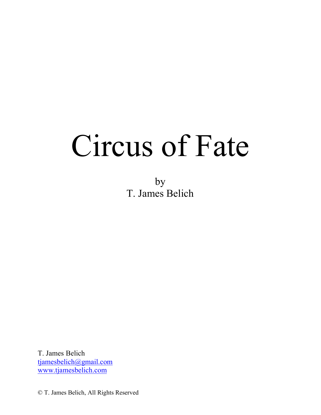# Circus of Fate

by T. James Belich

T. James Belich tjamesbelich@gmail.com www.tjamesbelich.com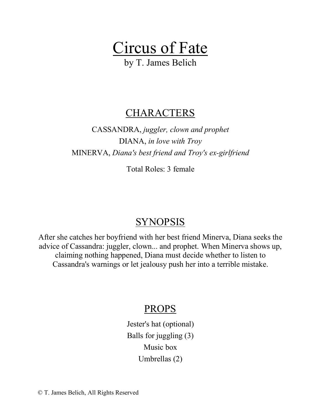

by T. James Belich

# **CHARACTERS**

CASSANDRA, *juggler, clown and prophet* DIANA, *in love with Troy* MINERVA, *Diana's best friend and Troy's ex-girlfriend*

Total Roles: 3 female

# SYNOPSIS

After she catches her boyfriend with her best friend Minerva, Diana seeks the advice of Cassandra: juggler, clown... and prophet. When Minerva shows up, claiming nothing happened, Diana must decide whether to listen to Cassandra's warnings or let jealousy push her into a terrible mistake.

# PROPS

Jester's hat (optional) Balls for juggling (3) Music box Umbrellas (2)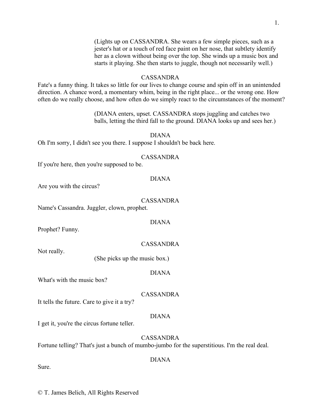(Lights up on CASSANDRA. She wears a few simple pieces, such as a jester's hat or a touch of red face paint on her nose, that subtlety identify her as a clown without being over the top. She winds up a music box and starts it playing. She then starts to juggle, though not necessarily well.)

#### CASSANDRA

Fate's a funny thing. It takes so little for our lives to change course and spin off in an unintended direction. A chance word, a momentary whim, being in the right place... or the wrong one. How often do we really choose, and how often do we simply react to the circumstances of the moment?

> (DIANA enters, upset. CASSANDRA stops juggling and catches two balls, letting the third fall to the ground. DIANA looks up and sees her.)

#### DIANA

Oh I'm sorry, I didn't see you there. I suppose I shouldn't be back here.

#### CASSANDRA

If you're here, then you're supposed to be.

#### DIANA

Are you with the circus?

#### CASSANDRA

Name's Cassandra. Juggler, clown, prophet.

# DIANA

Prophet? Funny.

#### CASSANDRA

Not really.

(She picks up the music box.)

#### DIANA

What's with the music box?

CASSANDRA

It tells the future. Care to give it a try?

#### DIANA

I get it, you're the circus fortune teller.

# CASSANDRA

Fortune telling? That's just a bunch of mumbo-jumbo for the superstitious. I'm the real deal.

#### DIANA

Sure.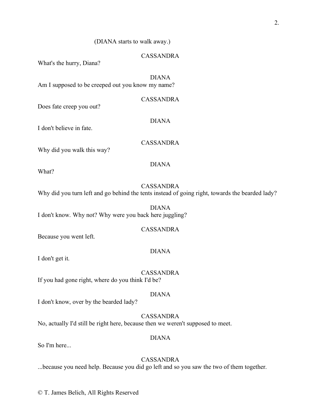# (DIANA starts to walk away.)

# CASSANDRA

What's the hurry, Diana?

DIANA Am I supposed to be creeped out you know my name?

CASSANDRA

DIANA

Does fate creep you out?

I don't believe in fate.

CASSANDRA

DIANA

Why did you walk this way?

What?

#### CASSANDRA

CASSANDRA

DIANA

Why did you turn left and go behind the tents instead of going right, towards the bearded lady?

DIANA I don't know. Why not? Why were you back here juggling?

Because you went left.

I don't get it.

CASSANDRA

DIANA

If you had gone right, where do you think I'd be?

I don't know, over by the bearded lady?

CASSANDRA

No, actually I'd still be right here, because then we weren't supposed to meet.

# DIANA

So I'm here...

# CASSANDRA

...because you need help. Because you did go left and so you saw the two of them together.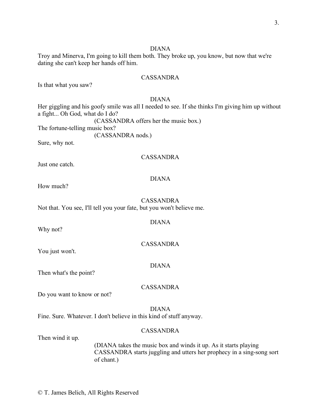# DIANA

Troy and Minerva, I'm going to kill them both. They broke up, you know, but now that we're dating she can't keep her hands off him.

# CASSANDRA

Is that what you saw?

# DIANA

Her giggling and his goofy smile was all I needed to see. If she thinks I'm giving him up without a fight... Oh God, what do I do? (CASSANDRA offers her the music box.) The fortune-telling music box? (CASSANDRA nods.) Sure, why not.

# CASSANDRA

Just one catch.

# DIANA

How much?

# CASSANDRA Not that. You see, I'll tell you your fate, but you won't believe me.

Why not?

You just won't.

# DIANA

CASSANDRA

DIANA

Then what's the point?

# CASSANDRA

Do you want to know or not?

# DIANA

Fine. Sure. Whatever. I don't believe in this kind of stuff anyway.

# CASSANDRA

Then wind it up.

(DIANA takes the music box and winds it up. As it starts playing CASSANDRA starts juggling and utters her prophecy in a sing-song sort of chant.)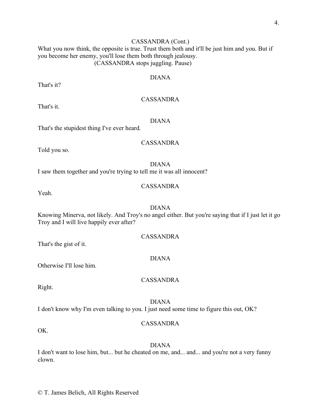4.

# CASSANDRA (Cont.)

What you now think, the opposite is true. Trust them both and it'll be just him and you. But if you become her enemy, you'll lose them both through jealousy. (CASSANDRA stops juggling. Pause)

# DIANA

That's it?

# CASSANDRA

That's it.

# DIANA

That's the stupidest thing I've ever heard.

# CASSANDRA

Told you so.

# DIANA

I saw them together and you're trying to tell me it was all innocent?

#### CASSANDRA

Yeah.

#### DIANA

Knowing Minerva, not likely. And Troy's no angel either. But you're saying that if I just let it go Troy and I will live happily ever after?

# CASSANDRA

That's the gist of it.

#### DIANA

CASSANDRA

Otherwise I'll lose him.

Right.

# DIANA

I don't know why I'm even talking to you. I just need some time to figure this out, OK?

# CASSANDRA

OK.

#### DIANA

I don't want to lose him, but... but he cheated on me, and... and... and you're not a very funny clown.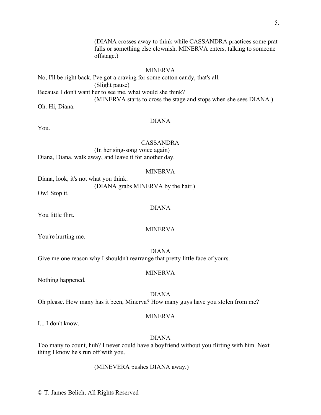(DIANA crosses away to think while CASSANDRA practices some prat falls or something else clownish. MINERVA enters, talking to someone offstage.)

# MINERVA

No, I'll be right back. I've got a craving for some cotton candy, that's all. (Slight pause) Because I don't want her to see me, what would she think? (MINERVA starts to cross the stage and stops when she sees DIANA.) Oh. Hi, Diana.

# DIANA

You.

#### CASSANDRA

(In her sing-song voice again) Diana, Diana, walk away, and leave it for another day.

#### MINERVA

Diana, look, it's not what you think. (DIANA grabs MINERVA by the hair.)

Ow! Stop it.

DIANA

You little flirt.

#### MINERVA

You're hurting me.

DIANA

Give me one reason why I shouldn't rearrange that pretty little face of yours.

#### MINERVA

Nothing happened.

#### DIANA

Oh please. How many has it been, Minerva? How many guys have you stolen from me?

#### MINERVA

I... I don't know.

## DIANA

Too many to count, huh? I never could have a boyfriend without you flirting with him. Next thing I know he's run off with you.

(MINEVERA pushes DIANA away.)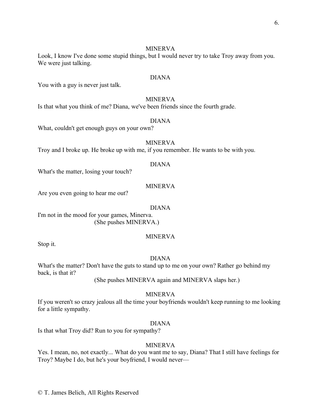#### MINERVA

Look, I know I've done some stupid things, but I would never try to take Troy away from you. We were just talking.

#### DIANA

You with a guy is never just talk.

# MINERVA

Is that what you think of me? Diana, we've been friends since the fourth grade.

# DIANA

What, couldn't get enough guys on your own?

# MINERVA

Troy and I broke up. He broke up with me, if you remember. He wants to be with you.

# DIANA

What's the matter, losing your touch?

# MINERVA

Are you even going to hear me out?

#### DIANA

I'm not in the mood for your games, Minerva. (She pushes MINERVA.)

# MINERVA

Stop it.

# DIANA

What's the matter? Don't have the guts to stand up to me on your own? Rather go behind my back, is that it?

(She pushes MINERVA again and MINERVA slaps her.)

# MINERVA

If you weren't so crazy jealous all the time your boyfriends wouldn't keep running to me looking for a little sympathy.

# DIANA

Is that what Troy did? Run to you for sympathy?

# MINERVA

Yes. I mean, no, not exactly... What do you want me to say, Diana? That I still have feelings for Troy? Maybe I do, but he's your boyfriend, I would never—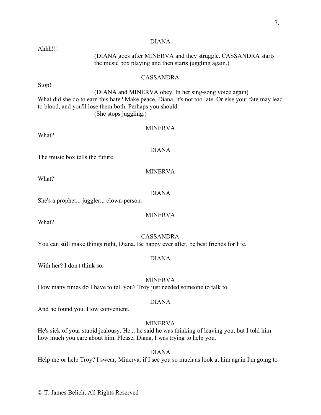# DIANA (DIANA goes after MINERVA and they struggle. CASSANDRA starts the music box playing and then starts juggling again.) CASSANDRA Stop! (DIANA and MINERVA obey. In her sing-song voice again) What did she do to earn this hate? Make peace, Diana, it's not too late. Or else your fate may lead to blood, and you'll lose them both. Perhaps you should. (She stops juggling.) MINERVA What? DIANA The music box tells the future. MINERVA What? DIANA She's a prophet... juggler... clown-person. MINERVA CASSANDRA You can still make things right, Diana. Be happy ever after, be best friends for life.

DIANA

With her? I don't think so.

MINERVA How many times do I have to tell you? Troy just needed someone to talk to.

# DIANA

And he found you. How convenient.

# MINERVA

He's sick of your stupid jealousy. He... he said he was thinking of leaving you, but I told him how much you care about him. Please, Diana, I was trying to help you.

DIANA Help me or help Troy? I swear, Minerva, if I see you so much as look at him again I'm going to—

Ahhh!!!

What?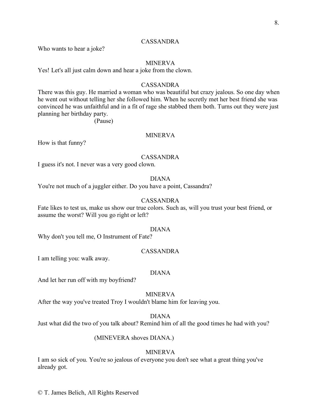# CASSANDRA

Who wants to hear a joke?

# MINERVA

Yes! Let's all just calm down and hear a joke from the clown.

# CASSANDRA

There was this guy. He married a woman who was beautiful but crazy jealous. So one day when he went out without telling her she followed him. When he secretly met her best friend she was convinced he was unfaithful and in a fit of rage she stabbed them both. Turns out they were just planning her birthday party.

(Pause)

# MINERVA

How is that funny?

# CASSANDRA

I guess it's not. I never was a very good clown.

# DIANA

You're not much of a juggler either. Do you have a point, Cassandra?

# CASSANDRA

Fate likes to test us, make us show our true colors. Such as, will you trust your best friend, or assume the worst? Will you go right or left?

#### DIANA

Why don't you tell me, O Instrument of Fate?

# CASSANDRA

I am telling you: walk away.

# DIANA

And let her run off with my boyfriend?

# MINERVA

After the way you've treated Troy I wouldn't blame him for leaving you.

#### DIANA

Just what did the two of you talk about? Remind him of all the good times he had with you?

# (MINEVERA shoves DIANA.)

# MINERVA

I am so sick of you. You're so jealous of everyone you don't see what a great thing you've already got.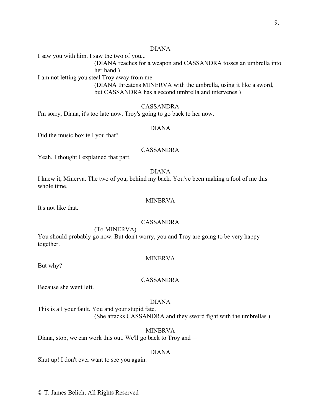# DIANA

I saw you with him. I saw the two of you...

(DIANA reaches for a weapon and CASSANDRA tosses an umbrella into her hand.)

I am not letting you steal Troy away from me.

(DIANA threatens MINERVA with the umbrella, using it like a sword, but CASSANDRA has a second umbrella and intervenes.)

# CASSANDRA

I'm sorry, Diana, it's too late now. Troy's going to go back to her now.

#### DIANA

Did the music box tell you that?

# CASSANDRA

Yeah, I thought I explained that part.

#### DIANA

I knew it, Minerva. The two of you, behind my back. You've been making a fool of me this whole time.

#### MINERVA

It's not like that.

# CASSANDRA

(To MINERVA)

You should probably go now. But don't worry, you and Troy are going to be very happy together.

#### MINERVA

But why?

## CASSANDRA

Because she went left.

#### DIANA

This is all your fault. You and your stupid fate. (She attacks CASSANDRA and they sword fight with the umbrellas.)

#### MINERVA

Diana, stop, we can work this out. We'll go back to Troy and—

#### DIANA

Shut up! I don't ever want to see you again.